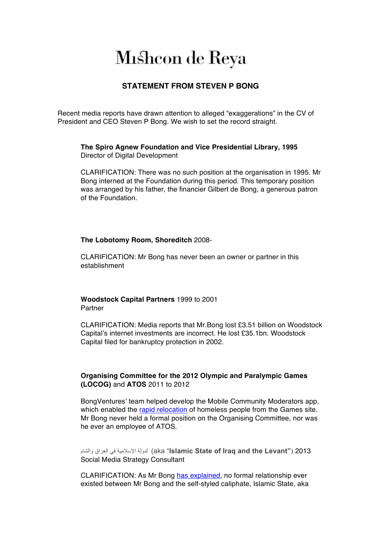# Mishcon de Reya

## **STATEMENT FROM STEVEN P BONG**

Recent media reports have drawn attention to alleged "exaggerations" in the CV of President and CEO Steven P Bong. We wish to set the record straight.

**The Spiro Agnew Foundation and Vice Presidential Library, 1995** Director of Digital Development

CLARIFICATION: There was no such position at the organisation in 1995. Mr Bong interned at the Foundation during this period. This temporary position was arranged by his father, the financier Gilbert de Bong, a generous patron of the Foundation.

#### **The Lobotomy Room, Shoreditch** 2008-

CLARIFICATION: Mr Bong has never been an owner or partner in this establishment

**Woodstock Capital Partners** 1999 to 2001 **Partner** 

CLARIFICATION: Media reports that Mr.Bong lost £3.51 billion on Woodstock Capital's internet investments are incorrect. He lost £35.1bn. Woodstock Capital filed for bankruptcy protection in 2002.

### **Organising Committee for the 2012 Olympic and Paralympic Games (LOCOG)** and **ATOS** 2011 to 2012

BongVentures' team helped develop the Mobile Community Moderators app, which enabled the rapid relocation of homeless people from the Games site. Mr Bong never held a formal position on the Organising Committee, nor was he ever an employee of ATOS.

والشام العراق في الإسلامیة لدولة) aka "**Islamic State of Iraq and the Levant"**) 2013 Social Media Strategy Consultant

CLARIFICATION: As Mr Bong has explained, no formal relationship ever existed between Mr Bong and the self-styled caliphate, Islamic State, aka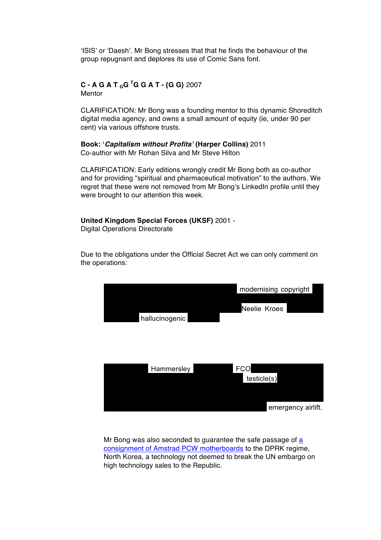'ISIS' or 'Daesh'. Mr Bong stresses that that he finds the behaviour of the group repugnant and deplores its use of Comic Sans font.

#### **C - A G A T GG <sup>T</sup> G G A T - {G G}** 2007 **Mentor**

CLARIFICATION: Mr Bong was a founding mentor to this dynamic Shoreditch digital media agency, and owns a small amount of equity (ie, under 90 per cent) via various offshore trusts.

**Book: '***Capitalism without Profits'* **(Harper Collins)** 2011 Co-author with Mr Rohan Silva and Mr Steve Hilton

CLARIFICATION: Early editions wrongly credit Mr Bong both as co-author and for providing "spiritual and pharmaceutical motivation" to the authors. We regret that these were not removed from Mr Bong's LinkedIn profile until they were brought to our attention this week.

**United Kingdom Special Forces (UKSF)** 2001 - Digital Operations Directorate

Due to the obligations under the Official Secret Act we can only comment on the operations:



Mr Bong was also seconded to guarantee the safe passage of a consignment of Amstrad PCW motherboards to the DPRK regime, North Korea, a technology not deemed to break the UN embargo on high technology sales to the Republic.